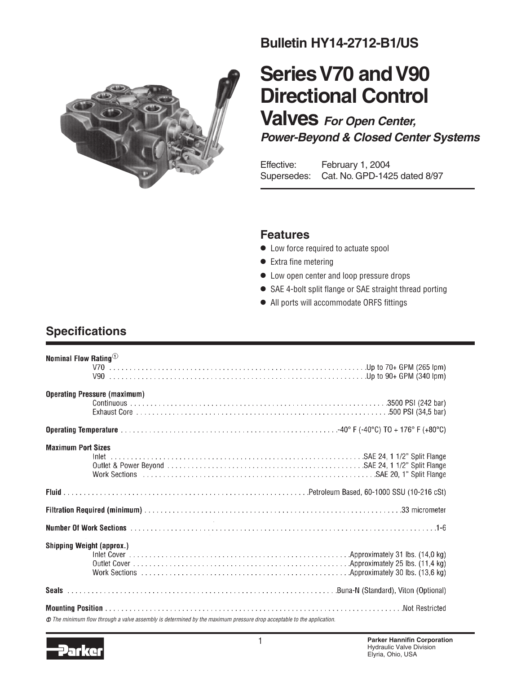

### **Bulletin HY14-2712-B1/US**

# **Series V70 and V90 Directional Control**

**Valves For Open Center, Power-Beyond & Closed Center Systems**

Effective: February 1, 2004 Supersedes: Cat. No. GPD-1425 dated 8/97

### **Features**

- **•** Low force required to actuate spool
- **•** Extra fine metering
- **•** Low open center and loop pressure drops
- **•** SAE 4-bolt split flange or SAE straight thread porting
- **•** All ports will accommodate ORFS fittings

### **Specifications**

| Nominal Flow Rating $^{\tiny{\text{\textregistered}}}$ |                                                                                                                     |
|--------------------------------------------------------|---------------------------------------------------------------------------------------------------------------------|
|                                                        |                                                                                                                     |
|                                                        | <b>Operating Pressure (maximum)</b>                                                                                 |
|                                                        |                                                                                                                     |
|                                                        |                                                                                                                     |
| <b>Maximum Port Sizes</b>                              |                                                                                                                     |
|                                                        |                                                                                                                     |
|                                                        |                                                                                                                     |
|                                                        |                                                                                                                     |
|                                                        |                                                                                                                     |
| <b>Shipping Weight (approx.)</b>                       |                                                                                                                     |
|                                                        |                                                                                                                     |
|                                                        |                                                                                                                     |
|                                                        |                                                                                                                     |
|                                                        | The minimum flow through a valve assembly is determined by the maximum pressure drop acceptable to the application. |

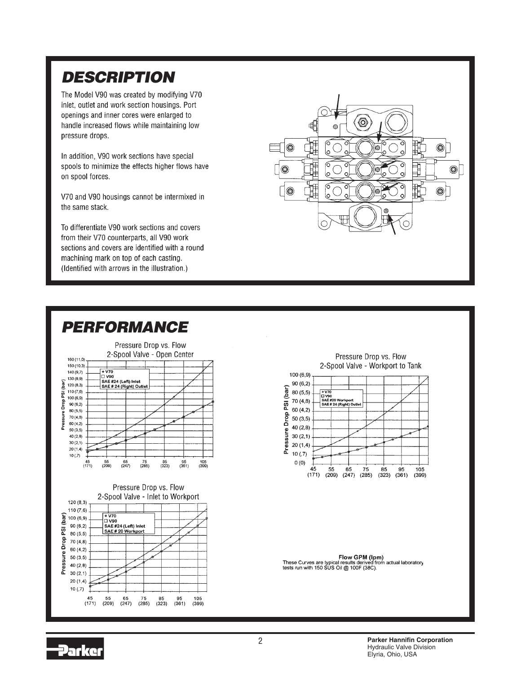## **DESCRIPTION**

The Model V90 was created by modifying V70 inlet, outlet and work section housings. Port openings and inner cores were enlarged to handle increased flows while maintaining low pressure drops.

In addition, V90 work sections have special spools to minimize the effects higher flows have on spool forces.

V70 and V90 housings cannot be intermixed in the same stack.

To differentiate V90 work sections and covers from their V70 counterparts, all V90 work sections and covers are identified with a round machining mark on top of each casting. (Identified with arrows in the illustration.)







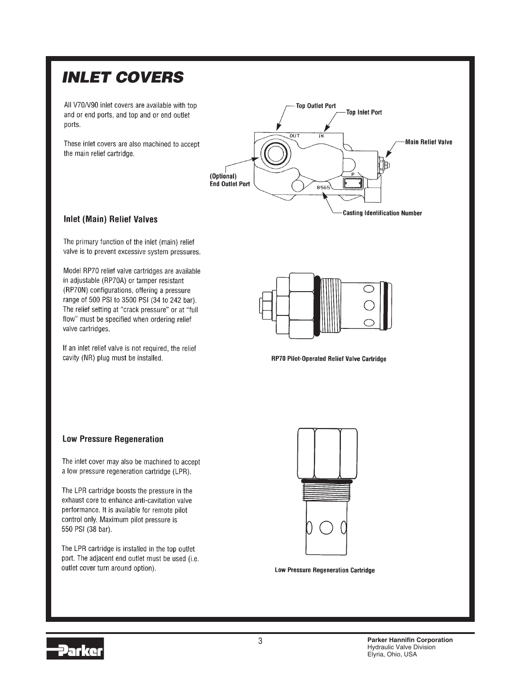### **INLET COVERS**

All V70/V90 inlet covers are available with top and or end ports, and top and or end outlet ports.

These inlet covers are also machined to accept the main relief cartridge.



#### **Inlet (Main) Relief Valves**

The primary function of the inlet (main) relief valve is to prevent excessive system pressures.

Model RP70 relief valve cartridges are available in adjustable (RP70A) or tamper resistant (RP70N) configurations, offering a pressure range of 500 PSI to 3500 PSI (34 to 242 bar). The relief setting at "crack pressure" or at "full flow" must be specified when ordering relief valve cartridges.

If an inlet relief valve is not required, the relief cavity (NR) plug must be installed.



RP70 Pilot-Operated Relief Valve Cartridge

#### **Low Pressure Regeneration**

The inlet cover may also be machined to accept a low pressure regeneration cartridge (LPR).

The LPR cartridge boosts the pressure in the exhaust core to enhance anti-cavitation valve performance. It is available for remote pilot control only. Maximum pilot pressure is 550 PSI (38 bar).

The LPR cartridge is installed in the top outlet port. The adjacent end outlet must be used (i.e. outlet cover turn around option).



**Low Pressure Regeneration Cartridge** 

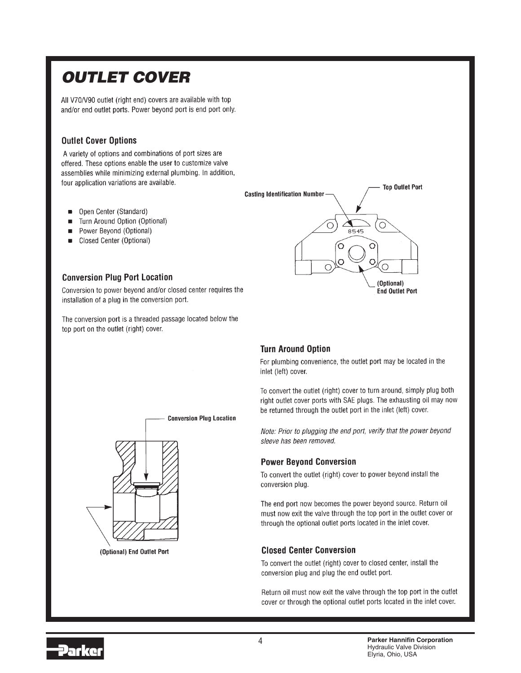## **OUTLET COVER**

All V70/V90 outlet (right end) covers are available with top and/or end outlet ports. Power beyond port is end port only.

#### **Outlet Cover Options**

A variety of options and combinations of port sizes are offered. These options enable the user to customize valve assemblies while minimizing external plumbing. In addition, four application variations are available.

- Open Center (Standard)  $\blacksquare$
- Turn Around Option (Optional)  $\blacksquare$
- Power Beyond (Optional)  $\blacksquare$
- Closed Center (Optional) ш

#### **Conversion Plug Port Location**

Conversion to power beyond and/or closed center requires the installation of a plug in the conversion port.

The conversion port is a threaded passage located below the top port on the outlet (right) cover.



#### **Turn Around Option**

For plumbing convenience, the outlet port may be located in the inlet (left) cover.

To convert the outlet (right) cover to turn around, simply plug both right outlet cover ports with SAE plugs. The exhausting oil may now be returned through the outlet port in the inlet (left) cover.

Note: Prior to plugging the end port, verify that the power beyond sleeve has been removed.

#### **Power Beyond Conversion**

To convert the outlet (right) cover to power beyond install the conversion plug.

The end port now becomes the power beyond source. Return oil must now exit the valve through the top port in the outlet cover or through the optional outlet ports located in the inlet cover.

#### **Closed Center Conversion**

To convert the outlet (right) cover to closed center, install the conversion plug and plug the end outlet port.

Return oil must now exit the valve through the top port in the outlet cover or through the optional outlet ports located in the inlet cover.



(Optional) End Outlet Port

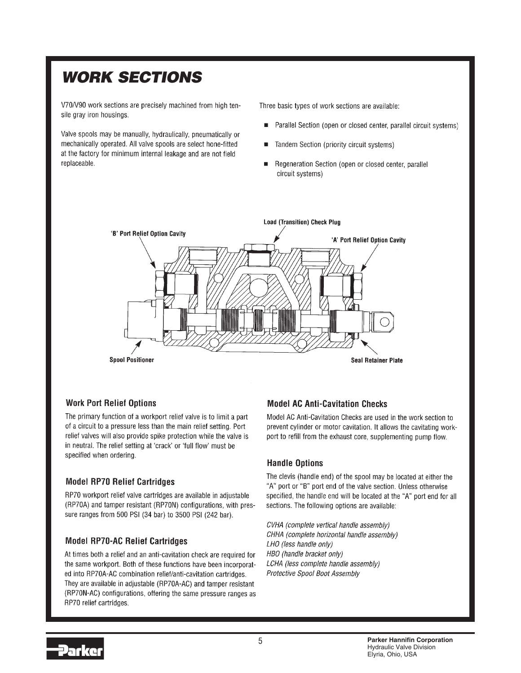## **WORK SECTIONS**

V70/V90 work sections are precisely machined from high tensile gray iron housings.

Valve spools may be manually, hydraulically, pneumatically or mechanically operated. All valve spools are select hone-fitted at the factory for minimum internal leakage and are not field replaceable.

Three basic types of work sections are available:

- Parallel Section (open or closed center, parallel circuit systems)
- Tandem Section (priority circuit systems)
- Regeneration Section (open or closed center, parallel circuit systems)



#### **Work Port Relief Options**

The primary function of a workport relief valve is to limit a part of a circuit to a pressure less than the main relief setting. Port relief valves will also provide spike protection while the valve is in neutral. The relief setting at 'crack' or 'full flow' must be specified when ordering.

#### **Model RP70 Relief Cartridges**

RP70 workport relief valve cartridges are available in adjustable (RP70A) and tamper resistant (RP70N) configurations, with pressure ranges from 500 PSI (34 bar) to 3500 PSI (242 bar).

#### **Model RP70-AC Relief Cartridges**

At times both a relief and an anti-cavitation check are required for the same workport. Both of these functions have been incorporated into RP70A-AC combination relief/anti-cavitation cartridges. They are available in adjustable (RP70A-AC) and tamper resistant (RP70N-AC) configurations, offering the same pressure ranges as RP70 relief cartridges.

#### **Model AC Anti-Cavitation Checks**

Model AC Anti-Cavitation Checks are used in the work section to prevent cylinder or motor cavitation. It allows the cavitating workport to refill from the exhaust core, supplementing pump flow.

#### **Handle Options**

The clevis (handle end) of the spool may be located at either the "A" port or "B" port end of the valve section. Unless otherwise specified, the handle end will be located at the "A" port end for all sections. The following options are available:

CVHA (complete vertical handle assembly) CHHA (complete horizontal handle assembly) LHO (less handle only) HBO (handle bracket only) LCHA (less complete handle assembly) Protective Spool Boot Assembly

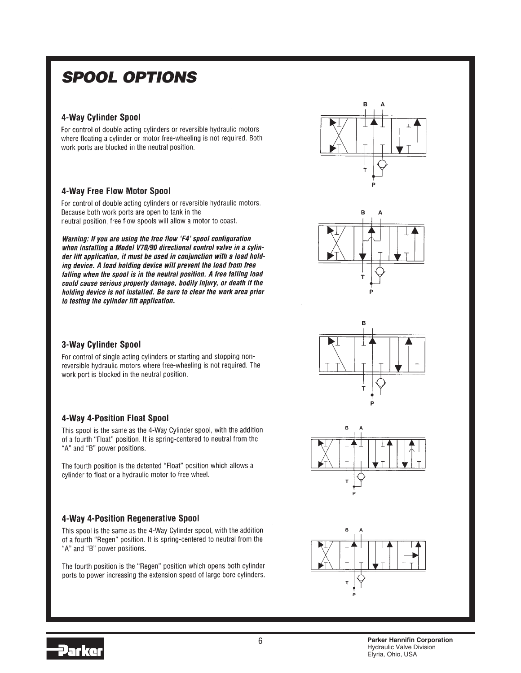### **SPOOL OPTIONS**

#### 4-Way Cylinder Spool

For control of double acting cylinders or reversible hydraulic motors where floating a cylinder or motor free-wheeling is not required. Both work ports are blocked in the neutral position.

#### 4-Way Free Flow Motor Spool

For control of double acting cylinders or reversible hydraulic motors. Because both work ports are open to tank in the neutral position, free flow spools will allow a motor to coast.

Warning: If you are using the free flow 'F4' spool configuration when installing a Model V70/90 directional control valve in a cylinder lift application, it must be used in conjunction with a load holding device. A load holding device will prevent the load from free falling when the spool is in the neutral position. A free falling load could cause serious property damage, bodily injury, or death if the holding device is not installed. Be sure to clear the work area prior to testing the cylinder lift application.



#### 3-Way Cylinder Spool

For control of single acting cylinders or starting and stopping nonreversible hydraulic motors where free-wheeling is not required. The work port is blocked in the neutral position.

#### 4-Way 4-Position Float Spool

This spool is the same as the 4-Way Cylinder spool, with the addition of a fourth "Float" position. It is spring-centered to neutral from the "A" and "B" power positions.

The fourth position is the detented "Float" position which allows a cylinder to float or a hydraulic motor to free wheel.

#### 4-Way 4-Position Regenerative Spool

This spool is the same as the 4-Way Cylinder spool, with the addition of a fourth "Regen" position. It is spring-centered to neutral from the "A" and "B" power positions.

The fourth position is the "Regen" position which opens both cylinder ports to power increasing the extension speed of large bore cylinders.

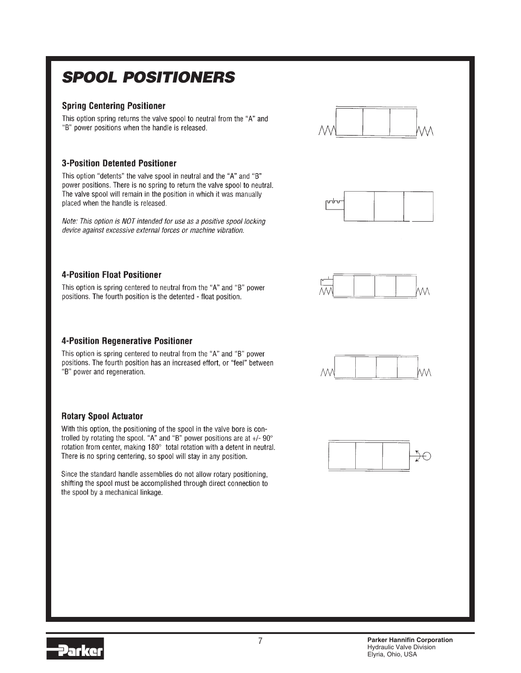## **SPOOL POSITIONERS**

#### **Spring Centering Positioner**

This option spring returns the valve spool to neutral from the "A" and "B" power positions when the handle is released.



This option "detents" the valve spool in neutral and the "A" and "B" power positions. There is no spring to return the valve spool to neutral. The valve spool will remain in the position in which it was manually placed when the handle is released.

Note: This option is NOT intended for use as a positive spool locking device against excessive external forces or machine vibration.

#### **4-Position Float Positioner**

This option is spring centered to neutral from the "A" and "B" power positions. The fourth position is the detented - float position.

#### **4-Position Regenerative Positioner**

This option is spring centered to neutral from the "A" and "B" power positions. The fourth position has an increased effort, or "feel" between "B" power and regeneration.

#### **Rotary Spool Actuator**

With this option, the positioning of the spool in the valve bore is controlled by rotating the spool. "A" and "B" power positions are at  $+/-90^{\circ}$ rotation from center, making 180° total rotation with a detent in neutral. There is no spring centering, so spool will stay in any position.

Since the standard handle assemblies do not allow rotary positioning. shifting the spool must be accomplished through direct connection to the spool by a mechanical linkage.



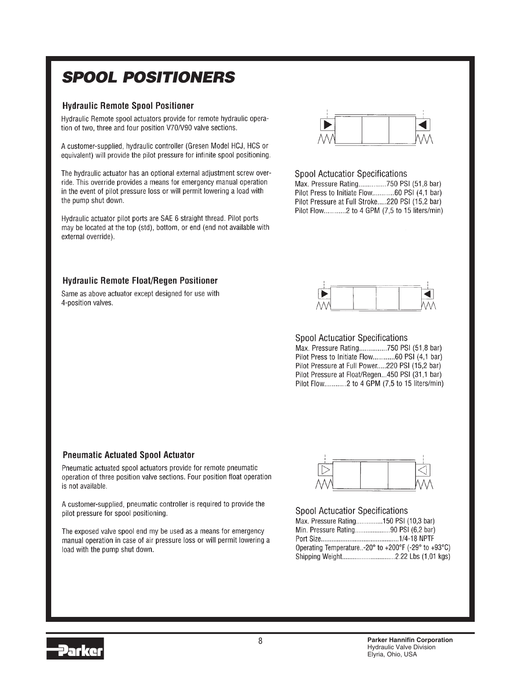### **SPOOL POSITIONERS**

#### **Hydraulic Remote Spool Positioner**

Hydraulic Remote spool actuators provide for remote hydraulic operation of two, three and four position V70/V90 valve sections.

A customer-supplied, hydraulic controller (Gresen Model HCJ, HCS or equivalent) will provide the pilot pressure for infinite spool positioning.

The hydraulic actuator has an optional external adjustment screw override. This override provides a means for emergency manual operation in the event of pilot pressure loss or will permit lowering a load with the pump shut down.

Hydraulic actuator pilot ports are SAE 6 straight thread. Pilot ports may be located at the top (std), bottom, or end (end not available with external override).



#### **Spool Actucatior Specifications**

Max. Pressure Rating...............750 PSI (51,8 bar) Pilot Press to Initiate Flow............. 60 PSI (4,1 bar) Pilot Pressure at Full Stroke.....220 PSI (15,2 bar) Pilot Flow.............2 to 4 GPM (7,5 to 15 liters/min)

#### **Hydraulic Remote Float/Regen Positioner**

Same as above actuator except designed for use with 4-position valves.



**Spool Actucatior Specifications** Max. Pressure Rating...............750 PSI (51,8 bar) Pilot Press to Initiate Flow.................60 PSI (4,1 bar) Pilot Pressure at Full Power.....220 PSI (15,2 bar) Pilot Pressure at Float/Regen...450 PSI (31,1 bar) Pilot Flow.............2 to 4 GPM (7,5 to 15 liters/min)

#### **Pneumatic Actuated Spool Actuator**

Pneumatic actuated spool actuators provide for remote pneumatic operation of three position valve sections. Four position float operation is not available.

A customer-supplied, pneumatic controller is required to provide the pilot pressure for spool positioning.

The exposed valve spool end my be used as a means for emergency manual operation in case of air pressure loss or will permit lowering a load with the pump shut down.



#### **Spool Actucatior Specifications**

| Max. Pressure Rating150 PSI (10,3 bar)                                                        |  |
|-----------------------------------------------------------------------------------------------|--|
| Min. Pressure Rating90 PSI (6,2 bar)                                                          |  |
|                                                                                               |  |
| Operating Temperature-20 $^{\circ}$ to +200 $^{\circ}$ F (-29 $^{\circ}$ to +93 $^{\circ}$ C) |  |
|                                                                                               |  |
|                                                                                               |  |

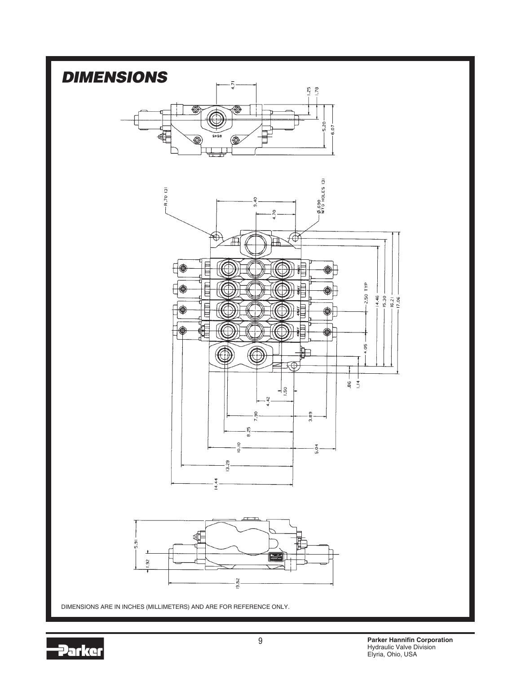

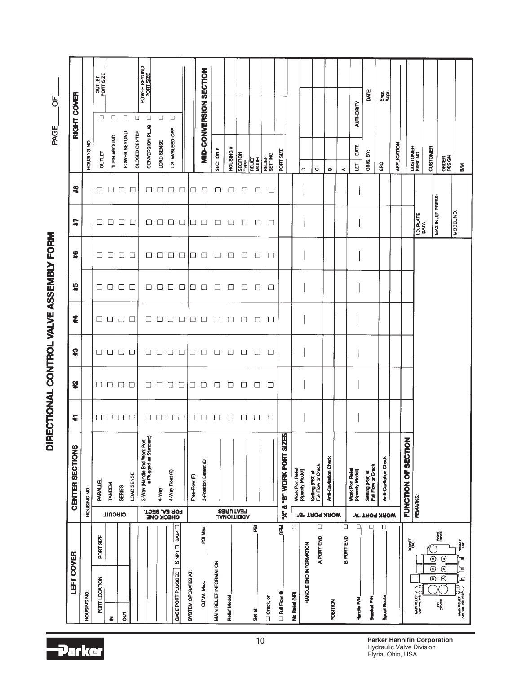|                                                                                               |                                    |                                                                       |                   |               |                             |                      |        | DILECTIONAL COMPANY AND COMPANY LONG |                                                                                                             |                     | PAGE                                      |                  | $\sigma$                   |  |
|-----------------------------------------------------------------------------------------------|------------------------------------|-----------------------------------------------------------------------|-------------------|---------------|-----------------------------|----------------------|--------|--------------------------------------|-------------------------------------------------------------------------------------------------------------|---------------------|-------------------------------------------|------------------|----------------------------|--|
| LEFT COVER                                                                                    |                                    | CENTER SECTIONS                                                       | $\overline{\ast}$ | 艺术            | $\boldsymbol{\mathfrak{P}}$ | $\boldsymbol{z}$     | 45     | $\pmb{\ast}$                         | #7                                                                                                          | $\boldsymbol{\ast}$ |                                           | RIGHT COVER      |                            |  |
| HOUSING NO.                                                                                   |                                    | HOUSING NO.                                                           |                   |               |                             |                      |        |                                      |                                                                                                             |                     | HOUSING NO.                               |                  |                            |  |
| PORT SIZE<br>PORT LOCATION                                                                    |                                    | PARALLEL                                                              |                   | □             | $\Box$                      |                      | □      | 0                                    |                                                                                                             | □                   | ountr                                     | $\Box$           | <b>OUTLET</b><br>PORT SIZE |  |
| $\boldsymbol{\underline{z}}$                                                                  | <b>CIRCULL</b>                     | <b>TANDEM</b>                                                         |                   | $\Box$        | $\Box$                      | $\Box$ $\Box$        | $\Box$ | $\Box$                               |                                                                                                             | $\Box$              | TURN AROUND                               | $\Box$           |                            |  |
| $\overline{5}$                                                                                |                                    | <b>SERIES</b>                                                         | 0000              | $\Box$ $\Box$ | $\Box$                      | $\Box$               | $\Box$ | $\square$ $\square$                  | 0000                                                                                                        | $\Box$ $\Box$       | POWER BEYOND                              | $\Box$           |                            |  |
|                                                                                               |                                    | LOAD SENSE                                                            |                   |               | $\Box$                      | $\Box$               | $\Box$ |                                      |                                                                                                             |                     | CLOSED CENTER                             | $\Box$           |                            |  |
|                                                                                               |                                    | 3-Way (Handle End Work Port<br>is Plugged as Standard)                | $\Box$            | $\Box$        | $\Box$                      | □                    | □      |                                      | $\Box$                                                                                                      |                     | CONVERSION PLUG                           | $\Box$           | POWER BEYOND<br>PORT SIZE  |  |
|                                                                                               |                                    | 4-Way                                                                 | $\Box$            | $\Box$        | $\Box$                      |                      | $\Box$ | $\Box$ $\Box$                        |                                                                                                             | $\Box$              | LOAD SENSE                                | $\Box$           |                            |  |
|                                                                                               | <b>FOR EAL SECT.</b><br>CHECK ONE  | 4-Way Float (K)                                                       | $\Box$ $\Box$     | $\Box$        | $\Box$                      | $\Box$ $\Box$ $\Box$ | □      | $\Box$ $\Box$                        | $\begin{array}{c} \square \hspace{0.1cm} \square \hspace{0.1cm} \square \hspace{0.1cm} \square \end{array}$ | $\Box$              | L.S. WBLEED-OFF                           | $\Box$           |                            |  |
| SAE4<br><b>XNPT</b><br>GAGE PORT PLUGGED                                                      |                                    |                                                                       |                   | $\Box$        | $\Box$                      |                      | $\Box$ |                                      |                                                                                                             | $\Box$              |                                           |                  |                            |  |
| SYSTEM OPERATES AT:                                                                           |                                    | Free-Flow (F)                                                         | $\Box$            | 10            | $\Box$ $\Box$               |                      | □      | $\Box$                               |                                                                                                             | $\Box$              |                                           |                  |                            |  |
| PSI Max.<br>G.P.M. Max                                                                        |                                    | 3-Position Detent (D)                                                 | D                 | $\Box$        |                             | □□                   | $\Box$ | $\Box$                               | $\Box$ $\Box$                                                                                               | $\Box$              |                                           |                  | MID-CONVERSION SECTION     |  |
| MAIN RELIEF INFORMATION                                                                       |                                    |                                                                       | $\Box$            | $\Box$        | $\Box$                      | □                    |        | $\Box$                               | $\Box$                                                                                                      | $\Box$              | SECTION #                                 |                  |                            |  |
| <b>Relief Model</b>                                                                           |                                    |                                                                       | $\Box$            | $\Box$        | $\Box$                      | □                    | $\Box$ | $\Box$                               | □                                                                                                           | $\Box$              | HOUSING #                                 |                  |                            |  |
|                                                                                               | <b>FEATURES</b><br><b>PEATURES</b> |                                                                       | □                 | □             | $\Box$                      | $\Box$               | □      | $\Box$                               | $\Box$                                                                                                      | $\Box$              | <b>SECTION</b><br>TYPE<br>MELIEF<br>MODEL |                  |                            |  |
| Ø<br>Set at                                                                                   |                                    |                                                                       | 0                 | □             | $\Box$                      | $\Box$               | □      | $\Box$                               | $\Box$                                                                                                      | □                   |                                           |                  |                            |  |
| $\Box$ Crack, or                                                                              |                                    |                                                                       | $\Box$            | $\Box$        | $\Box$                      | $\Box$               | □      | $\Box$                               | $\Box$                                                                                                      | $\Box$              | RELI <del>EF</del><br>SETTING             |                  |                            |  |
| GPM<br><b>D</b> Full Flow @                                                                   | ķ                                  | $\overline{\mathbf{a}}$<br>"B" WORK PORT SIZE<br>$\ddot{\phantom{a}}$ |                   |               |                             |                      |        |                                      |                                                                                                             |                     | PORT SIZE                                 |                  |                            |  |
| $\Box$<br>No Relief (NR)                                                                      |                                    | Work Port Relief<br>[Specify Model]                                   |                   |               |                             |                      |        |                                      |                                                                                                             |                     |                                           |                  |                            |  |
| HANDLE END INFORMATION                                                                        | "B" TROP NAOW                      |                                                                       |                   |               |                             |                      |        |                                      |                                                                                                             |                     | $\mathbf \Omega$                          |                  |                            |  |
| $\Box$<br>A PORT END                                                                          |                                    | Setting (PSI) at<br>Full Flow or Crack                                |                   |               |                             |                      |        |                                      |                                                                                                             |                     | $\circ$                                   |                  |                            |  |
| <b>POSITION</b>                                                                               |                                    | Anti-Cavitation Check                                                 |                   |               |                             |                      |        |                                      |                                                                                                             |                     | ø                                         |                  |                            |  |
| $\Box$<br>B PORT END                                                                          |                                    |                                                                       |                   |               |                             |                      |        |                                      |                                                                                                             |                     | $\prec$                                   |                  |                            |  |
| $\Box$<br><b>Handle P/N</b>                                                                   |                                    | Work Port Relief<br>[Specify Model]                                   |                   |               |                             |                      |        |                                      |                                                                                                             |                     | DATE<br>ğ                                 | <b>AUTHORITY</b> |                            |  |
| $\Box$<br><b>Bracket P/N</b>                                                                  | "A" TROA XAOW                      | Setting (PSI) at<br>Full Flow or Crack                                |                   |               |                             |                      |        |                                      |                                                                                                             |                     | ORIG. BY:                                 |                  | DATE:                      |  |
| $\Box$<br><b>Spool Boots</b>                                                                  |                                    | Anti-Cavitation Check                                                 |                   |               |                             |                      |        |                                      |                                                                                                             |                     | 6                                         |                  | 동화                         |  |
|                                                                                               |                                    |                                                                       |                   |               |                             |                      |        |                                      |                                                                                                             |                     | APPLICATION                               |                  |                            |  |
| BOWET                                                                                         |                                    | FUNCTION OF SECTION                                                   |                   |               |                             |                      |        |                                      |                                                                                                             |                     |                                           |                  |                            |  |
| đ,<br><b>WAIN RELEF</b>                                                                       |                                    | REMARKS:                                                              |                   |               |                             |                      |        |                                      | <b>I.D. PLATE</b><br>DATA                                                                                   |                     | CUSTOMER<br>PART NO.                      |                  |                            |  |
| $\odot$<br>$\overline{\circ}$<br>$\odot$                                                      |                                    |                                                                       |                   |               |                             |                      |        |                                      | MAX INLET PRESS                                                                                             |                     | CUSTOMER                                  |                  |                            |  |
| RIGHT<br>COVER<br>$\odot$<br>$\overline{\circ}$<br>$\overline{\odot}$<br><b>LEFT</b><br>COVER |                                    |                                                                       |                   |               |                             |                      |        |                                      |                                                                                                             |                     | ORDER<br>DESIGN                           |                  |                            |  |
| HANDLE<br>END<br>ミ<br>゚゚゚゚゠<br>노<br>MANN RELIEF U-J                                           |                                    |                                                                       |                   |               |                             |                      |        |                                      | MODEL NO.                                                                                                   |                     | $\mathbf{g}$                              |                  |                            |  |

DIRECTIONAL CONTROL VALVE ASSEMBLY FORM

-Parker

**Parker Hannifin Corporation** Hydraulic Valve Division Elyria, Ohio, USA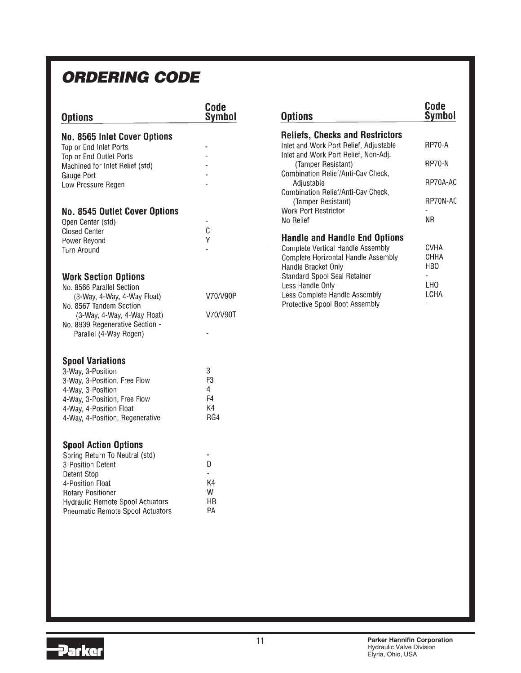### **ORDERING CODE**

| <b>Options</b>                                                                                                                                                                                                                   | Code<br>Symbol                              |
|----------------------------------------------------------------------------------------------------------------------------------------------------------------------------------------------------------------------------------|---------------------------------------------|
| No. 8565 Inlet Cover Options<br>Top or End Inlet Ports<br>Top or End Outlet Ports<br>Machined for Inlet Relief (std)<br>Gauge Port<br>Low Pressure Regen                                                                         |                                             |
| <b>No. 8545 Outlet Cover Options</b><br>Open Center (std)<br><b>Closed Center</b><br>Power Beyond<br><b>Turn Around</b>                                                                                                          | C<br>Ý                                      |
| <b>Work Section Options</b><br>No. 8566 Parallel Section<br>(3-Way, 4-Way, 4-Way Float)<br>No. 8567 Tandem Section<br>(3-Way, 4-Way, 4-Way Float)<br>No. 8939 Regenerative Section -<br>Parallel (4-Way Regen)                   | V70/V90P<br>V70/V90T                        |
| <b>Spool Variations</b><br>3-Way, 3-Position<br>3-Way, 3-Position, Free Flow<br>4-Way, 3-Position<br>4-Way, 3-Position, Free Flow<br>4-Way, 4-Position Float<br>4-Way, 4-Position, Regenerative                                  | 3<br>F <sub>3</sub><br>4<br>F4<br>K4<br>RG4 |
| <b>Spool Action Options</b><br>Spring Return To Neutral (std)<br>3-Position Detent<br>Detent Stop<br>4-Position Float<br><b>Rotary Positioner</b><br><b>Hydraulic Remote Spool Actuators</b><br>Pneumatic Remote Spool Actuators | D<br>K4<br>W<br>ΗR<br>PA                    |

| <b>Options</b>                         | Code<br><b>Symbol</b> |
|----------------------------------------|-----------------------|
| <b>Reliefs, Checks and Restrictors</b> |                       |
| Inlet and Work Port Relief, Adjustable | <b>RP70-A</b>         |
| Inlet and Work Port Relief, Non-Adj.   |                       |
| (Tamper Resistant)                     | <b>RP70-N</b>         |
| Combination Relief/Anti-Cav Check,     |                       |
| Adjustable                             | RP70A-AC              |

RP70N-AC

 ${\sf NR}$ 

**CVHA** 

CHHA

HB<sub>O</sub>

LCHA

 $\overline{a}$ LH<sub>0</sub>

 $\overline{a}$ 

Combination Relief/Anti-Cav Check, (Tamper Resistant)

**Handle and Handle End Options Complete Vertical Handle Assembly** 

Complete Horizontal Handle Assembly

Work Port Restrictor

Handle Bracket Only

Less Handle Only

Standard Spool Seal Retainer

Less Complete Handle Assembly

Protective Spool Boot Assembly

No Relief

### Parker